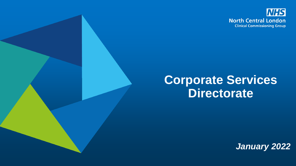

## **Corporate Services Directorate**

*January 2022*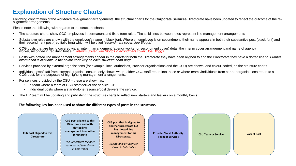## **Explanation of Structure Charts**

Following confirmation of the workforce re-alignment arrangements, the structure charts for the **Corporate Services** Directorate have been updated to reflect the outcome of the realignment arrangements.

Please note the following with regards to the structure charts:

- The structure charts show CCG employees in permanent and fixed term roles. The solid lines between roles represent line management arrangements
- Substantive roles are shown with the employee's name in black font. Where an employee is on secondment, their name appears in both their substantive post (black font) and their secondment post (red italic font) which will be titled *'secondment cover: Joe Bloggs'.*
- CCG posts that are being covered via an interim arrangement (agency worker or secondment cover) detail the interim cover arrangement and name of agency worker/secondee in red italic font e.g. *Interim Cover: Joe Bloggs /Secondment cover: Joe Bloggs*
- Posts with dotted line management arrangements appear in the charts for both the Directorate they have been aligned to and the Directorate they have a dotted line to. *Further information is available in the colour code key on each structure chart page.*
- Services provided by external organisations (for example, local authorities, Provider organisations and the CSU) are shown, and colour-coded, on the structure charts.
- Individual posts/staff from external organisations are only shown where either CCG staff report into these or where teams/individuals from partner organisations report to a CCG post, for the purposes of highlighting management arrangements.
- For services provided by the CSU these are shown as:
	- a team where a team of CSU staff deliver the service; Or
	- individual posts where a stand-alone resource/post delivers the service.
- The HR team will be updating and publishing the structure charts to reflect new starters and leavers on a monthly basis.

## **The following key has been used to show the different types of posts in the structure.**

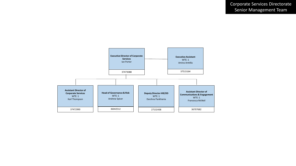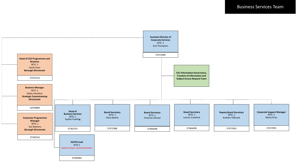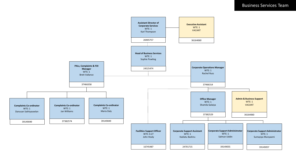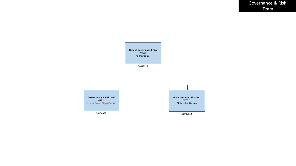Governance & Risk Team

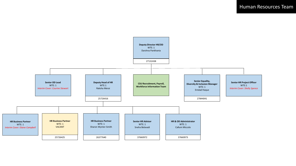